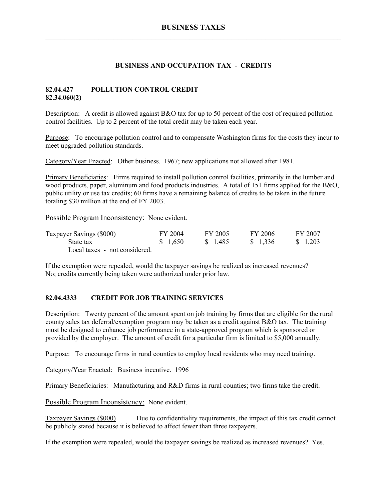#### **BUSINESS AND OCCUPATION TAX - CREDITS**

#### **82.04.427 POLLUTION CONTROL CREDIT 82.34.060(2)**

Description: A credit is allowed against B&O tax for up to 50 percent of the cost of required pollution control facilities. Up to 2 percent of the total credit may be taken each year.

Purpose: To encourage pollution control and to compensate Washington firms for the costs they incur to meet upgraded pollution standards.

Category/Year Enacted: Other business. 1967; new applications not allowed after 1981.

Primary Beneficiaries: Firms required to install pollution control facilities, primarily in the lumber and wood products, paper, aluminum and food products industries. A total of 151 firms applied for the B&O, public utility or use tax credits; 60 firms have a remaining balance of credits to be taken in the future totaling \$30 million at the end of FY 2003.

Possible Program Inconsistency: None evident.

| Taxpayer Savings (\$000)      | FY 2004 | FY 2005  | FY 2006  | FY 2007           |
|-------------------------------|---------|----------|----------|-------------------|
| State tax                     | \$1,650 | \$ 1,485 | \$ 1.336 | $\frac{1,203}{ }$ |
| Local taxes - not considered. |         |          |          |                   |

If the exemption were repealed, would the taxpayer savings be realized as increased revenues? No; credits currently being taken were authorized under prior law.

#### **82.04.4333 CREDIT FOR JOB TRAINING SERVICES**

Description: Twenty percent of the amount spent on job training by firms that are eligible for the rural county sales tax deferral/exemption program may be taken as a credit against B&O tax. The training must be designed to enhance job performance in a state-approved program which is sponsored or provided by the employer. The amount of credit for a particular firm is limited to \$5,000 annually.

Purpose: To encourage firms in rural counties to employ local residents who may need training.

Category/Year Enacted: Business incentive. 1996

Primary Beneficiaries: Manufacturing and R&D firms in rural counties; two firms take the credit.

Possible Program Inconsistency: None evident.

Taxpayer Savings (\$000) Due to confidentiality requirements, the impact of this tax credit cannot be publicly stated because it is believed to affect fewer than three taxpayers.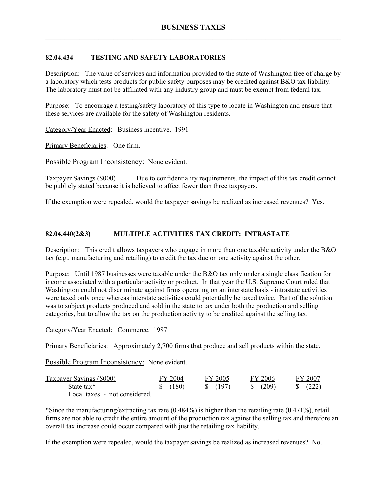## **82.04.434 TESTING AND SAFETY LABORATORIES**

Description: The value of services and information provided to the state of Washington free of charge by a laboratory which tests products for public safety purposes may be credited against B&O tax liability. The laboratory must not be affiliated with any industry group and must be exempt from federal tax.

Purpose: To encourage a testing/safety laboratory of this type to locate in Washington and ensure that these services are available for the safety of Washington residents.

Category/Year Enacted: Business incentive. 1991

Primary Beneficiaries: One firm.

Possible Program Inconsistency: None evident.

Taxpayer Savings (\$000) Due to confidentiality requirements, the impact of this tax credit cannot be publicly stated because it is believed to affect fewer than three taxpayers.

If the exemption were repealed, would the taxpayer savings be realized as increased revenues? Yes.

#### **82.04.440(2&3) MULTIPLE ACTIVITIES TAX CREDIT: INTRASTATE**

Description: This credit allows taxpayers who engage in more than one taxable activity under the B&O tax (e.g., manufacturing and retailing) to credit the tax due on one activity against the other.

Purpose: Until 1987 businesses were taxable under the B&O tax only under a single classification for income associated with a particular activity or product. In that year the U.S. Supreme Court ruled that Washington could not discriminate against firms operating on an interstate basis - intrastate activities were taxed only once whereas interstate activities could potentially be taxed twice. Part of the solution was to subject products produced and sold in the state to tax under both the production and selling categories, but to allow the tax on the production activity to be credited against the selling tax.

Category/Year Enacted: Commerce. 1987

Primary Beneficiaries: Approximately 2,700 firms that produce and sell products within the state.

Possible Program Inconsistency: None evident.

| Taxpayer Savings (\$000)      | FY 2004  | FY 2005          | FY 2006      | FY 2007             |
|-------------------------------|----------|------------------|--------------|---------------------|
| State tax*                    | \$ (180) | $\sqrt{5}$ (197) | $\sqrt{209}$ | $\frac{1}{2}$ (222) |
| Local taxes - not considered. |          |                  |              |                     |

\*Since the manufacturing/extracting tax rate (0.484%) is higher than the retailing rate (0.471%), retail firms are not able to credit the entire amount of the production tax against the selling tax and therefore an overall tax increase could occur compared with just the retailing tax liability.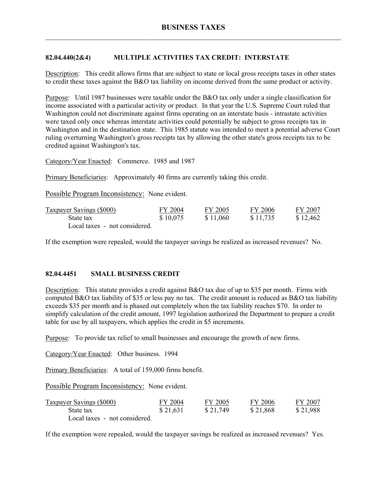## **82.04.440(2&4) MULTIPLE ACTIVITIES TAX CREDIT: INTERSTATE**

Description: This credit allows firms that are subject to state or local gross receipts taxes in other states to credit these taxes against the B&O tax liability on income derived from the same product or activity.

Purpose: Until 1987 businesses were taxable under the B&O tax only under a single classification for income associated with a particular activity or product. In that year the U.S. Supreme Court ruled that Washington could not discriminate against firms operating on an interstate basis - intrastate activities were taxed only once whereas interstate activities could potentially be subject to gross receipts tax in Washington and in the destination state. This 1985 statute was intended to meet a potential adverse Court ruling overturning Washington's gross receipts tax by allowing the other state's gross receipts tax to be credited against Washington's tax.

Category/Year Enacted: Commerce. 1985 and 1987

Primary Beneficiaries: Approximately 40 firms are currently taking this credit.

Possible Program Inconsistency: None evident.

| Taxpayer Savings (\$000)      | FY 2004  | FY 2005  | FY 2006  | FY 2007  |
|-------------------------------|----------|----------|----------|----------|
| State tax                     | \$10,075 | \$11,060 | \$11,735 | \$12.462 |
| Local taxes - not considered. |          |          |          |          |

If the exemption were repealed, would the taxpayer savings be realized as increased revenues? No.

#### **82.04.4451 SMALL BUSINESS CREDIT**

Description: This statute provides a credit against B&O tax due of up to \$35 per month. Firms with computed B&O tax liability of \$35 or less pay no tax. The credit amount is reduced as B&O tax liability exceeds \$35 per month and is phased out completely when the tax liability reaches \$70. In order to simplify calculation of the credit amount, 1997 legislation authorized the Department to prepare a credit table for use by all taxpayers, which applies the credit in \$5 increments.

Purpose: To provide tax relief to small businesses and encourage the growth of new firms.

Category/Year Enacted: Other business. 1994

Primary Beneficiaries: A total of 159,000 firms benefit.

Possible Program Inconsistency: None evident.

| <b>Taxpayer Savings (\$000)</b> | FY 2004  | FY 2005  | FY 2006  | FY 2007  |
|---------------------------------|----------|----------|----------|----------|
| State tax                       | \$21,631 | \$21,749 | \$21,868 | \$21,988 |
| Local taxes - not considered.   |          |          |          |          |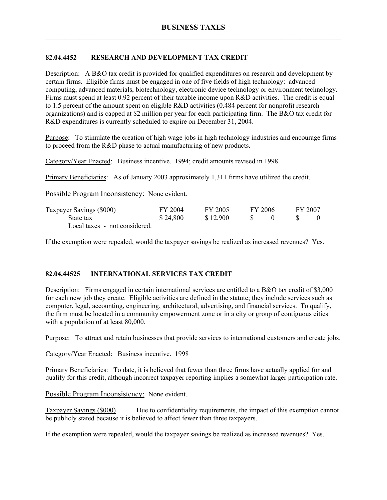# **82.04.4452 RESEARCH AND DEVELOPMENT TAX CREDIT**

Description: A B&O tax credit is provided for qualified expenditures on research and development by certain firms. Eligible firms must be engaged in one of five fields of high technology: advanced computing, advanced materials, biotechnology, electronic device technology or environment technology. Firms must spend at least 0.92 percent of their taxable income upon R&D activities. The credit is equal to 1.5 percent of the amount spent on eligible R&D activities (0.484 percent for nonprofit research organizations) and is capped at \$2 million per year for each participating firm. The B&O tax credit for R&D expenditures is currently scheduled to expire on December 31, 2004.

Purpose: To stimulate the creation of high wage jobs in high technology industries and encourage firms to proceed from the R&D phase to actual manufacturing of new products.

Category/Year Enacted: Business incentive. 1994; credit amounts revised in 1998.

Primary Beneficiaries: As of January 2003 approximately 1,311 firms have utilized the credit.

Possible Program Inconsistency: None evident.

| Taxpayer Savings (\$000)      | FY 2004  | FY 2005  | FY 2006 | FY 2007 |  |
|-------------------------------|----------|----------|---------|---------|--|
| State tax                     | \$24,800 | \$12,900 |         |         |  |
| Local taxes - not considered. |          |          |         |         |  |

If the exemption were repealed, would the taxpayer savings be realized as increased revenues? Yes.

## **82.04.44525 INTERNATIONAL SERVICES TAX CREDIT**

Description: Firms engaged in certain international services are entitled to a B&O tax credit of \$3,000 for each new job they create. Eligible activities are defined in the statute; they include services such as computer, legal, accounting, engineering, architectural, advertising, and financial services. To qualify, the firm must be located in a community empowerment zone or in a city or group of contiguous cities with a population of at least 80,000.

Purpose: To attract and retain businesses that provide services to international customers and create jobs.

Category/Year Enacted: Business incentive. 1998

Primary Beneficiaries: To date, it is believed that fewer than three firms have actually applied for and qualify for this credit, although incorrect taxpayer reporting implies a somewhat larger participation rate.

Possible Program Inconsistency: None evident.

Taxpayer Savings (\$000) Due to confidentiality requirements, the impact of this exemption cannot be publicly stated because it is believed to affect fewer than three taxpayers.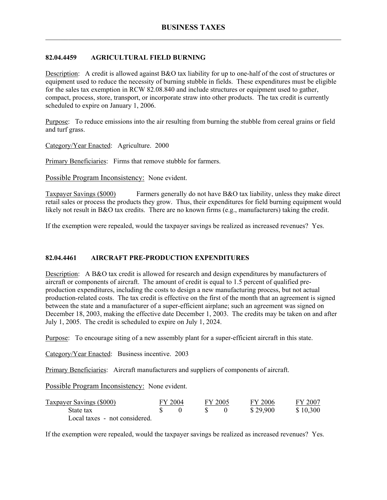## **82.04.4459 AGRICULTURAL FIELD BURNING**

Description: A credit is allowed against B&O tax liability for up to one-half of the cost of structures or equipment used to reduce the necessity of burning stubble in fields. These expenditures must be eligible for the sales tax exemption in RCW 82.08.840 and include structures or equipment used to gather, compact, process, store, transport, or incorporate straw into other products. The tax credit is currently scheduled to expire on January 1, 2006.

Purpose: To reduce emissions into the air resulting from burning the stubble from cereal grains or field and turf grass.

Category/Year Enacted: Agriculture. 2000

Primary Beneficiaries: Firms that remove stubble for farmers.

Possible Program Inconsistency: None evident.

Taxpayer Savings (\$000) Farmers generally do not have B&O tax liability, unless they make direct retail sales or process the products they grow. Thus, their expenditures for field burning equipment would likely not result in B&O tax credits. There are no known firms (e.g., manufacturers) taking the credit.

If the exemption were repealed, would the taxpayer savings be realized as increased revenues? Yes.

#### **82.04.4461 AIRCRAFT PRE-PRODUCTION EXPENDITURES**

Description: A B&O tax credit is allowed for research and design expenditures by manufacturers of aircraft or components of aircraft. The amount of credit is equal to 1.5 percent of qualified preproduction expenditures, including the costs to design a new manufacturing process, but not actual production-related costs. The tax credit is effective on the first of the month that an agreement is signed between the state and a manufacturer of a super-efficient airplane; such an agreement was signed on December 18, 2003, making the effective date December 1, 2003. The credits may be taken on and after July 1, 2005. The credit is scheduled to expire on July 1, 2024.

Purpose: To encourage siting of a new assembly plant for a super-efficient aircraft in this state.

Category/Year Enacted: Business incentive. 2003

Primary Beneficiaries: Aircraft manufacturers and suppliers of components of aircraft.

Possible Program Inconsistency: None evident.

| <b>Taxpayer Savings (\$000)</b> | FY 2004 | FY 2005 | FY 2006  | FY 2007  |
|---------------------------------|---------|---------|----------|----------|
| State tax                       |         |         | \$29,900 | \$10,300 |
| Local taxes - not considered.   |         |         |          |          |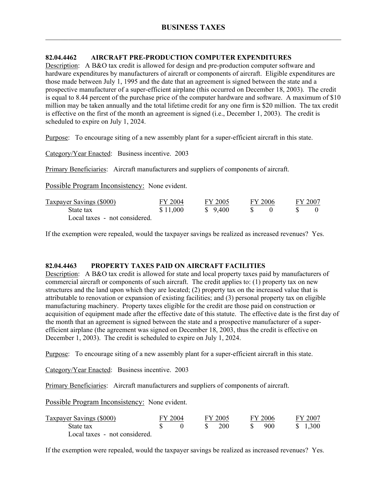#### **82.04.4462 AIRCRAFT PRE-PRODUCTION COMPUTER EXPENDITURES**

Description: A B&O tax credit is allowed for design and pre-production computer software and hardware expenditures by manufacturers of aircraft or components of aircraft. Eligible expenditures are those made between July 1, 1995 and the date that an agreement is signed between the state and a prospective manufacturer of a super-efficient airplane (this occurred on December 18, 2003). The credit is equal to 8.44 percent of the purchase price of the computer hardware and software. A maximum of \$10 million may be taken annually and the total lifetime credit for any one firm is \$20 million. The tax credit is effective on the first of the month an agreement is signed (i.e., December 1, 2003). The credit is scheduled to expire on July 1, 2024.

Purpose: To encourage siting of a new assembly plant for a super-efficient aircraft in this state.

Category/Year Enacted: Business incentive. 2003

Primary Beneficiaries: Aircraft manufacturers and suppliers of components of aircraft.

Possible Program Inconsistency: None evident.

| <b>Taxpayer Savings (\$000)</b> | FY 2004  | FY 2005 | FY 2006 | FY 2007 |  |
|---------------------------------|----------|---------|---------|---------|--|
| State tax                       | \$11,000 | \$9,400 |         |         |  |
| Local taxes - not considered.   |          |         |         |         |  |

If the exemption were repealed, would the taxpayer savings be realized as increased revenues? Yes.

#### **82.04.4463 PROPERTY TAXES PAID ON AIRCRAFT FACILITIES**

Description: A B&O tax credit is allowed for state and local property taxes paid by manufacturers of commercial aircraft or components of such aircraft. The credit applies to: (1) property tax on new structures and the land upon which they are located; (2) property tax on the increased value that is attributable to renovation or expansion of existing facilities; and (3) personal property tax on eligible manufacturing machinery. Property taxes eligible for the credit are those paid on construction or acquisition of equipment made after the effective date of this statute. The effective date is the first day of the month that an agreement is signed between the state and a prospective manufacturer of a superefficient airplane (the agreement was signed on December 18, 2003, thus the credit is effective on December 1, 2003). The credit is scheduled to expire on July 1, 2024.

Purpose: To encourage siting of a new assembly plant for a super-efficient aircraft in this state.

Category/Year Enacted: Business incentive. 2003

Primary Beneficiaries: Aircraft manufacturers and suppliers of components of aircraft.

Possible Program Inconsistency: None evident.

| <b>Taxpayer Savings (\$000)</b> | FY 2004 |    | FY 2005    | FY 2006 | FY 2007 |
|---------------------------------|---------|----|------------|---------|---------|
| State tax                       |         | S. | <b>200</b> | 900     | \$1,300 |
| Local taxes - not considered.   |         |    |            |         |         |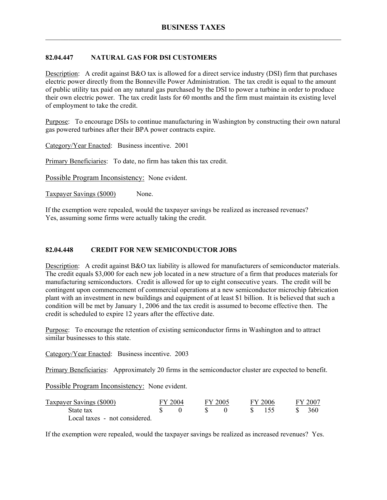## **82.04.447 NATURAL GAS FOR DSI CUSTOMERS**

Description: A credit against B&O tax is allowed for a direct service industry (DSI) firm that purchases electric power directly from the Bonneville Power Administration. The tax credit is equal to the amount of public utility tax paid on any natural gas purchased by the DSI to power a turbine in order to produce their own electric power. The tax credit lasts for 60 months and the firm must maintain its existing level of employment to take the credit.

Purpose: To encourage DSIs to continue manufacturing in Washington by constructing their own natural gas powered turbines after their BPA power contracts expire.

Category/Year Enacted: Business incentive. 2001

Primary Beneficiaries: To date, no firm has taken this tax credit.

Possible Program Inconsistency: None evident.

Taxpayer Savings (\$000) None.

If the exemption were repealed, would the taxpayer savings be realized as increased revenues? Yes, assuming some firms were actually taking the credit.

## **82.04.448 CREDIT FOR NEW SEMICONDUCTOR JOBS**

Description: A credit against B&O tax liability is allowed for manufacturers of semiconductor materials. The credit equals \$3,000 for each new job located in a new structure of a firm that produces materials for manufacturing semiconductors. Credit is allowed for up to eight consecutive years. The credit will be contingent upon commencement of commercial operations at a new semiconductor microchip fabrication plant with an investment in new buildings and equipment of at least \$1 billion. It is believed that such a condition will be met by January 1, 2006 and the tax credit is assumed to become effective then. The credit is scheduled to expire 12 years after the effective date.

Purpose: To encourage the retention of existing semiconductor firms in Washington and to attract similar businesses to this state.

Category/Year Enacted: Business incentive. 2003

Primary Beneficiaries: Approximately 20 firms in the semiconductor cluster are expected to benefit.

Possible Program Inconsistency: None evident.

| Taxpayer Savings (\$000)      | FY 2004 | FY 2005 |              | FY 2006 | FY 2007 |
|-------------------------------|---------|---------|--------------|---------|---------|
| State tax                     |         |         | $\mathbf{x}$ |         | - 360   |
| Local taxes - not considered. |         |         |              |         |         |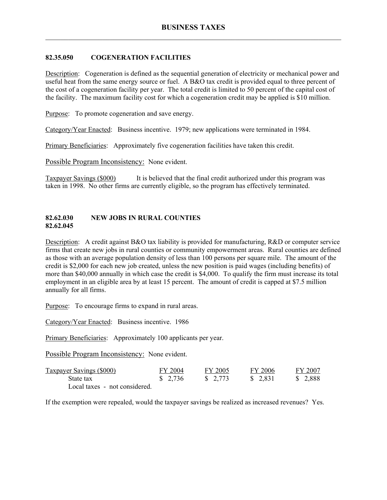### **82.35.050 COGENERATION FACILITIES**

Description: Cogeneration is defined as the sequential generation of electricity or mechanical power and useful heat from the same energy source or fuel. A B&O tax credit is provided equal to three percent of the cost of a cogeneration facility per year. The total credit is limited to 50 percent of the capital cost of the facility. The maximum facility cost for which a cogeneration credit may be applied is \$10 million.

Purpose: To promote cogeneration and save energy.

Category/Year Enacted: Business incentive. 1979; new applications were terminated in 1984.

Primary Beneficiaries: Approximately five cogeneration facilities have taken this credit.

Possible Program Inconsistency: None evident.

Taxpayer Savings (\$000) It is believed that the final credit authorized under this program was taken in 1998. No other firms are currently eligible, so the program has effectively terminated.

#### **82.62.030 NEW JOBS IN RURAL COUNTIES 82.62.045**

Description: A credit against B&O tax liability is provided for manufacturing, R&D or computer service firms that create new jobs in rural counties or community empowerment areas. Rural counties are defined as those with an average population density of less than 100 persons per square mile. The amount of the credit is \$2,000 for each new job created, unless the new position is paid wages (including benefits) of more than \$40,000 annually in which case the credit is \$4,000. To qualify the firm must increase its total employment in an eligible area by at least 15 percent. The amount of credit is capped at \$7.5 million annually for all firms.

Purpose: To encourage firms to expand in rural areas.

Category/Year Enacted: Business incentive. 1986

Primary Beneficiaries: Approximately 100 applicants per year.

Possible Program Inconsistency: None evident.

| <b>Taxpayer Savings (\$000)</b> | FY 2004 | FY 2005                | FY 2006  | FY 2007 |
|---------------------------------|---------|------------------------|----------|---------|
| State tax                       | \$2,736 | $\frac{1}{2}$ , 2, 773 | \$ 2.831 | \$2,888 |
| Local taxes - not considered.   |         |                        |          |         |